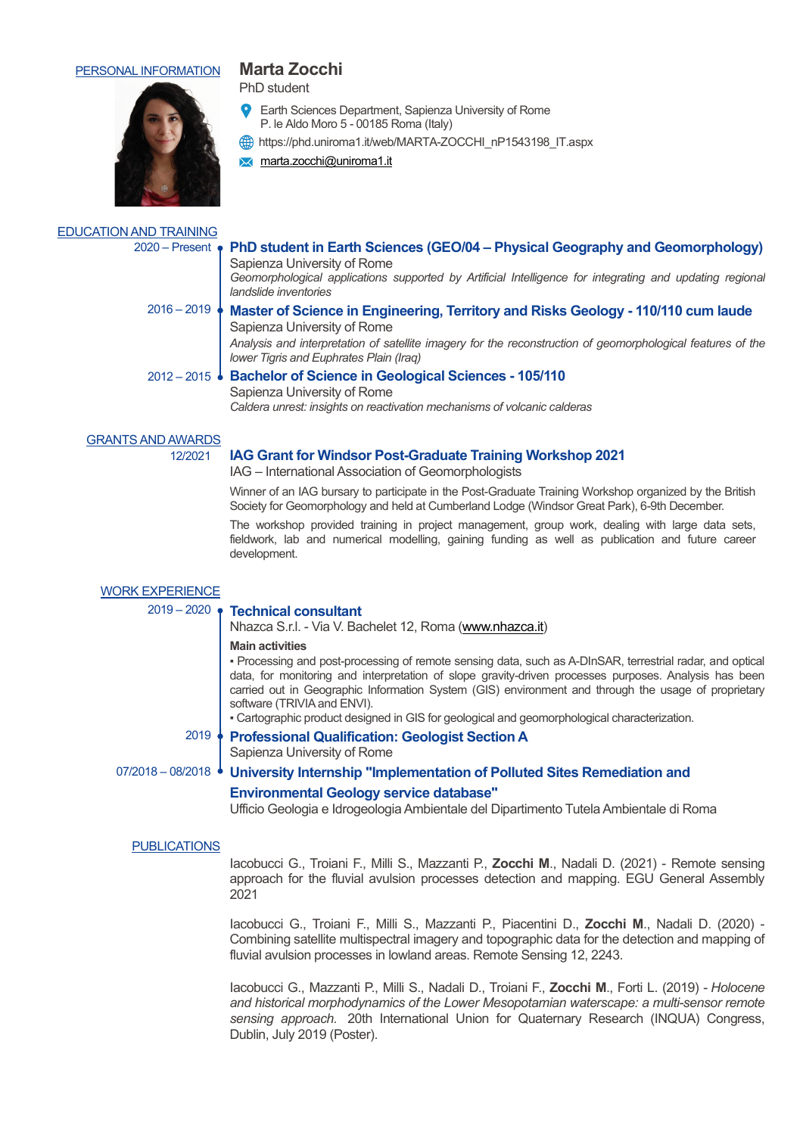# PERSONAL INFORMATION **Marta Zocchi**

**X** marta.zocchi@uniroma1.it

PhD student



## EDUCATION AND TRAINING

# 2020 – Present **PhD student in Earth Sciences (GEO/04 – Physical Geography and Geomorphology)**

Sapienza University of Rome Geomorphological applications supported by Artificial Intelligence for integrating and updating regional *landslide inventories*

#### 2016 – 2019 **Master of Science in Engineering, Territory and Risks Geology - 110/110 cum laude** Sapienza University of Rome *Analysis and interpretation of satellite imagery for the reconstruction of geomorphological features of the*

*lower Tigris and Euphrates Plain (Iraq)*

# 2012 – 2015 **Bachelor of Science in Geological Sciences - 105/110**

Sapienza University of Rome

*Caldera unrest: insights on reactivation mechanisms of volcanic calderas*

Earth Sciences Department, Sapienza University of Rome

https://phd.uniroma1.it/web/MARTA-ZOCCHI\_nP1543198\_IT.aspx

P. le Aldo Moro 5 - 00185 Roma (Italy)

### **GRANTS AND AWARDS**

#### 12/2021 **IAG Grant for Windsor Post-Graduate Training Workshop 2021**

IAG – International Association of Geomorphologists

Winner of an IAG bursary to participate in the Post-Graduate Training Workshop organized by the British Society for Geomorphology and held at Cumberland Lodge (Windsor Great Park), 6-9th December.

The workshop provided training in project management, group work, dealing with large data sets, fieldwork, lab and numerical modelling, gaining funding as well as publication and future career development.

| $2019 - 2020$ • Technical consultant<br>Nhazca S.r.l. - Via V. Bachelet 12, Roma (www.nhazca.it)                                                                                                                                                                                                                                                                                                                                                                                   |
|------------------------------------------------------------------------------------------------------------------------------------------------------------------------------------------------------------------------------------------------------------------------------------------------------------------------------------------------------------------------------------------------------------------------------------------------------------------------------------|
| <b>Main activities</b><br>• Processing and post-processing of remote sensing data, such as A-DInSAR, terrestrial radar, and optical<br>data, for monitoring and interpretation of slope gravity-driven processes purposes. Analysis has been<br>carried out in Geographic Information System (GIS) environment and through the usage of proprietary<br>software (TRIVIA and ENVI).<br>- Cartographic product designed in GIS for geological and geomorphological characterization. |
| <b>Professional Qualification: Geologist Section A</b><br>Sapienza University of Rome                                                                                                                                                                                                                                                                                                                                                                                              |
| 07/2018 - 08/2018 • University Internship "Implementation of Polluted Sites Remediation and<br><b>Environmental Geology service database"</b><br>Ufficio Geologia e Idrogeologia Ambientale del Dipartimento Tutela Ambientale di Roma                                                                                                                                                                                                                                             |
|                                                                                                                                                                                                                                                                                                                                                                                                                                                                                    |

#### PUBLICATIONS

Iacobucci G., Troiani F., Milli S., Mazzanti P., **Zocchi M**., Nadali D. (2021) - Remote sensing approach for the fluvial avulsion processes detection and mapping. EGU General Assembly 2021

Iacobucci G., Troiani F., Milli S., Mazzanti P., Piacentini D., **Zocchi M**., Nadali D. (2020) - Combining satellite multispectral imagery and topographic data for the detection and mapping of fluvial avulsion processes in lowland areas. Remote Sensing 12, 2243.

Iacobucci G., Mazzanti P., Milli S., Nadali D., Troiani F., **Zocchi M**., Forti L. (2019) - *Holocene and historical morphodynamics of the Lower Mesopotamian waterscape: a multi-sensor remote sensing approach.* 20th International Union for Quaternary Research (INQUA) Congress, Dublin, July 2019 (Poster).